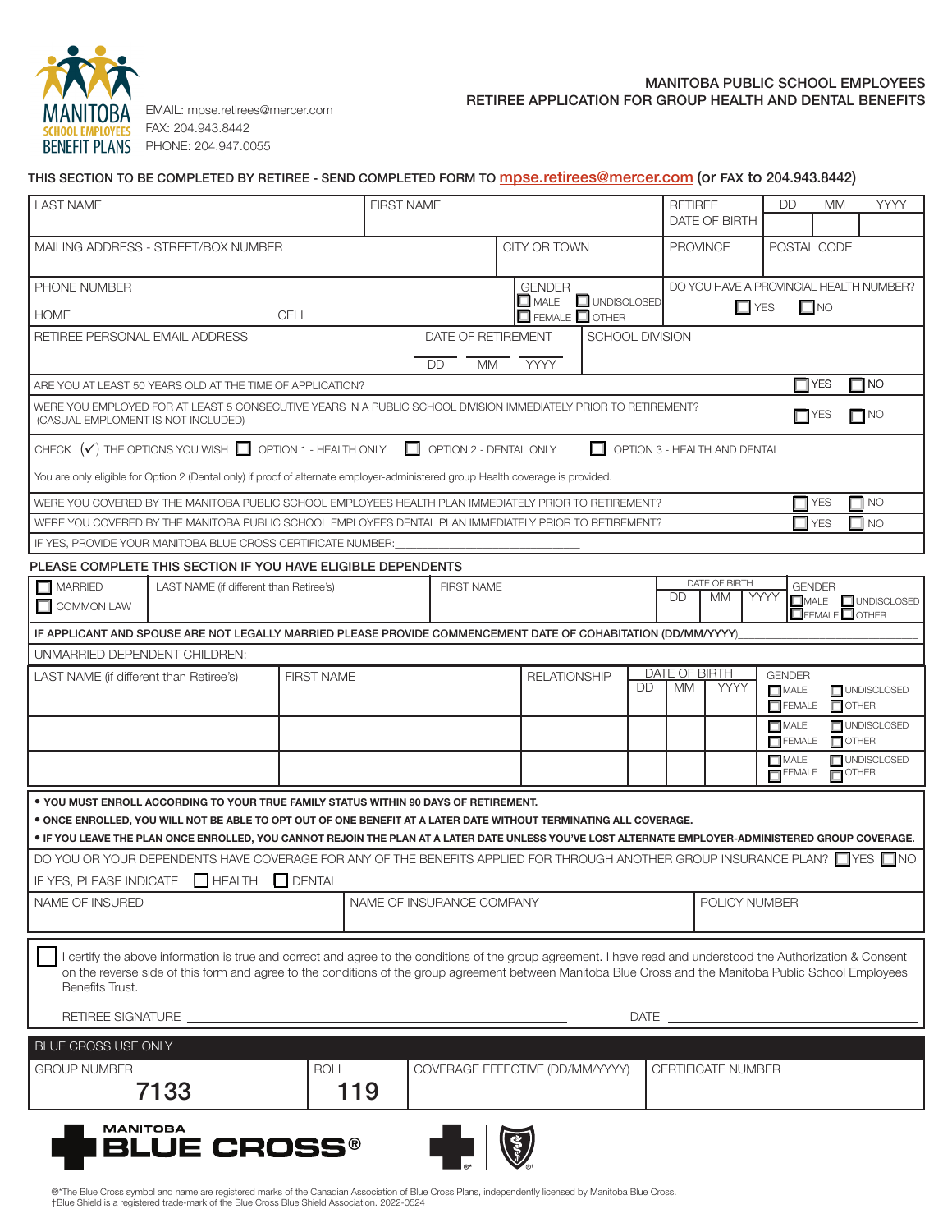

FAX: 204.943.8442 **BENEFIT PLANS** PHONE: 204.947.0055

## MANITOBA PUBLIC SCHOOL EMPLOYEES EMAIL: mpse.retirees@mercer.com **EXAMPLICATION FOR GROUP HEALTH AND DENTAL BENEFITS**

| <b>LAST NAME</b>                                                  |                                                                                                                                                                                                                                                                                                                            |                   | <b>FIRST NAME</b>         |                    |                                 |                      | <b>RETIREE</b> | DATE OF BIRTH                           | <b>DD</b>                    | МM                                     | YYYY             |
|-------------------------------------------------------------------|----------------------------------------------------------------------------------------------------------------------------------------------------------------------------------------------------------------------------------------------------------------------------------------------------------------------------|-------------------|---------------------------|--------------------|---------------------------------|----------------------|----------------|-----------------------------------------|------------------------------|----------------------------------------|------------------|
|                                                                   | MAILING ADDRESS - STREET/BOX NUMBER                                                                                                                                                                                                                                                                                        |                   |                           |                    | CITY OR TOWN                    |                      |                | <b>PROVINCE</b>                         | POSTAL CODE                  |                                        |                  |
| PHONE NUMBER                                                      |                                                                                                                                                                                                                                                                                                                            |                   |                           |                    | <b>GENDER</b>                   |                      |                | DO YOU HAVE A PROVINCIAL HEALTH NUMBER? |                              |                                        |                  |
|                                                                   |                                                                                                                                                                                                                                                                                                                            |                   |                           |                    | $\square$ male                  | <b>O</b> UNDISCLOSED |                | $\Box$ YES                              |                              | $\Box$ NO                              |                  |
| <b>HOME</b>                                                       |                                                                                                                                                                                                                                                                                                                            | CELL              |                           |                    | $\Box$ FEMALE $\Box$ OTHER      |                      |                |                                         |                              |                                        |                  |
|                                                                   | RETIREE PERSONAL EMAIL ADDRESS                                                                                                                                                                                                                                                                                             |                   |                           | DATE OF RETIREMENT |                                 | SCHOOL DIVISION      |                |                                         |                              |                                        |                  |
|                                                                   | ARE YOU AT LEAST 50 YEARS OLD AT THE TIME OF APPLICATION?                                                                                                                                                                                                                                                                  |                   |                           | DD<br><b>MM</b>    | <b>YYYY</b>                     |                      |                |                                         | $\Box$ YES                   |                                        | $\Box$ NO        |
|                                                                   | WERE YOU EMPLOYED FOR AT LEAST 5 CONSECUTIVE YEARS IN A PUBLIC SCHOOL DIVISION IMMEDIATELY PRIOR TO RETIREMENT?                                                                                                                                                                                                            |                   |                           |                    |                                 |                      |                |                                         |                              |                                        |                  |
|                                                                   | (CASUAL EMPLOMENT IS NOT INCLUDED)                                                                                                                                                                                                                                                                                         |                   |                           |                    |                                 |                      |                |                                         | $\Box$ YES                   |                                        | $\Box$ NO        |
|                                                                   | CHECK $(\checkmark)$ THE OPTIONS YOU WISH $\Box$ OPTION 1 - HEALTH ONLY $\Box$ OPTION 2 - DENTAL ONLY                                                                                                                                                                                                                      |                   |                           |                    |                                 | П                    |                | OPTION 3 - HEALTH AND DENTAL            |                              |                                        |                  |
|                                                                   | You are only eligible for Option 2 (Dental only) if proof of alternate employer-administered group Health coverage is provided.                                                                                                                                                                                            |                   |                           |                    |                                 |                      |                |                                         |                              |                                        |                  |
|                                                                   | WERE YOU COVERED BY THE MANITOBA PUBLIC SCHOOL EMPLOYEES HEALTH PLAN IMMEDIATELY PRIOR TO RETIREMENT?                                                                                                                                                                                                                      |                   |                           |                    |                                 |                      |                |                                         |                              | <b>YES</b>                             | $\Box$ NO        |
|                                                                   | WERE YOU COVERED BY THE MANITOBA PUBLIC SCHOOL EMPLOYEES DENTAL PLAN IMMEDIATELY PRIOR TO RETIREMENT?                                                                                                                                                                                                                      |                   |                           |                    |                                 |                      |                |                                         |                              | <b>YES</b>                             | $\Box$ No        |
|                                                                   | IF YES, PROVIDE YOUR MANITOBA BLUE CROSS CERTIFICATE NUMBER:                                                                                                                                                                                                                                                               |                   |                           |                    |                                 |                      |                |                                         |                              |                                        |                  |
|                                                                   | PLEASE COMPLETE THIS SECTION IF YOU HAVE ELIGIBLE DEPENDENTS                                                                                                                                                                                                                                                               |                   |                           |                    |                                 |                      |                |                                         |                              |                                        |                  |
| $\Box$ MARRIED                                                    | LAST NAME (if different than Retiree's)                                                                                                                                                                                                                                                                                    |                   |                           | <b>FIRST NAME</b>  |                                 |                      |                | DATE OF BIRTH                           |                              | <b>GENDER</b>                          |                  |
| $\Box$ COMMON LAW                                                 |                                                                                                                                                                                                                                                                                                                            |                   |                           |                    |                                 |                      | <b>DD</b>      | MM.                                     | YYYY                         |                                        | MALE UNDISCLOSED |
|                                                                   | IF APPLICANT AND SPOUSE ARE NOT LEGALLY MARRIED PLEASE PROVIDE COMMENCEMENT DATE OF COHABITATION (DD/MM/YYYY)                                                                                                                                                                                                              |                   |                           |                    |                                 |                      |                |                                         |                              |                                        |                  |
|                                                                   | UNMARRIED DEPENDENT CHILDREN:                                                                                                                                                                                                                                                                                              |                   |                           |                    |                                 |                      |                |                                         |                              |                                        |                  |
| LAST NAME (if different than Retiree's)                           |                                                                                                                                                                                                                                                                                                                            | <b>FIRST NAME</b> |                           |                    | <b>RELATIONSHIP</b>             |                      | DATE OF BIRTH  |                                         | <b>GENDER</b>                |                                        |                  |
|                                                                   |                                                                                                                                                                                                                                                                                                                            |                   |                           |                    |                                 | <b>DD</b>            | MM             | <b>YYYY</b>                             | $\Box$ MALE<br>$\Box$ FEMALE | $\Box$ OTHER                           | UNDISCLOSED      |
|                                                                   |                                                                                                                                                                                                                                                                                                                            |                   |                           |                    |                                 |                      |                |                                         | $\Box$ MALE                  |                                        | UNDISCLOSED      |
|                                                                   |                                                                                                                                                                                                                                                                                                                            |                   |                           |                    |                                 |                      |                |                                         | $\Box$ FEMALE                | $\Box$ OTHER                           |                  |
|                                                                   |                                                                                                                                                                                                                                                                                                                            |                   |                           |                    |                                 |                      |                |                                         | $\square$ MALE<br>FEMALE     | $\overline{\mathbf{D}}^{\text{OTHER}}$ | UNDISCLOSED      |
|                                                                   |                                                                                                                                                                                                                                                                                                                            |                   |                           |                    |                                 |                      |                |                                         |                              |                                        |                  |
|                                                                   | . YOU MUST ENROLL ACCORDING TO YOUR TRUE FAMILY STATUS WITHIN 90 DAYS OF RETIREMENT.<br>. ONCE ENROLLED, YOU WILL NOT BE ABLE TO OPT OUT OF ONE BENEFIT AT A LATER DATE WITHOUT TERMINATING ALL COVERAGE.                                                                                                                  |                   |                           |                    |                                 |                      |                |                                         |                              |                                        |                  |
|                                                                   |                                                                                                                                                                                                                                                                                                                            |                   |                           |                    |                                 |                      |                |                                         |                              |                                        |                  |
|                                                                   | . IF YOU LEAVE THE PLAN ONCE ENROLLED, YOU CANNOT REJOIN THE PLAN AT A LATER DATE UNLESS YOU'VE LOST ALTERNATE EMPLOYER-ADMINISTERED GROUP COVERAGE.                                                                                                                                                                       |                   |                           |                    |                                 |                      |                |                                         |                              |                                        |                  |
|                                                                   | DO YOU OR YOUR DEPENDENTS HAVE COVERAGE FOR ANY OF THE BENEFITS APPLIED FOR THROUGH ANOTHER GROUP INSURANCE PLAN? □ YES □ NO                                                                                                                                                                                               |                   |                           |                    |                                 |                      |                |                                         |                              |                                        |                  |
|                                                                   |                                                                                                                                                                                                                                                                                                                            |                   |                           |                    |                                 |                      |                |                                         |                              |                                        |                  |
|                                                                   | $HVALUATE$ DENTAL                                                                                                                                                                                                                                                                                                          |                   | NAME OF INSURANCE COMPANY |                    |                                 |                      |                | POLICY NUMBER                           |                              |                                        |                  |
|                                                                   |                                                                                                                                                                                                                                                                                                                            |                   |                           |                    |                                 |                      |                |                                         |                              |                                        |                  |
|                                                                   |                                                                                                                                                                                                                                                                                                                            |                   |                           |                    |                                 |                      |                |                                         |                              |                                        |                  |
|                                                                   | I certify the above information is true and correct and agree to the conditions of the group agreement. I have read and understood the Authorization & Consent<br>on the reverse side of this form and agree to the conditions of the group agreement between Manitoba Blue Cross and the Manitoba Public School Employees |                   |                           |                    |                                 |                      |                |                                         |                              |                                        |                  |
| Benefits Trust.                                                   |                                                                                                                                                                                                                                                                                                                            |                   |                           |                    |                                 |                      |                |                                         |                              |                                        |                  |
|                                                                   |                                                                                                                                                                                                                                                                                                                            |                   |                           |                    |                                 |                      |                |                                         |                              |                                        |                  |
| IF YES, PLEASE INDICATE<br>NAME OF INSURED<br>BLUE CROSS USE ONLY |                                                                                                                                                                                                                                                                                                                            |                   |                           |                    |                                 |                      |                |                                         |                              |                                        |                  |
| <b>GROUP NUMBER</b>                                               |                                                                                                                                                                                                                                                                                                                            | ROLL              |                           |                    | COVERAGE EFFECTIVE (DD/MM/YYYY) |                      |                | <b>CERTIFICATE NUMBER</b>               |                              |                                        |                  |
|                                                                   | 7133                                                                                                                                                                                                                                                                                                                       | 119               |                           |                    |                                 |                      |                |                                         |                              |                                        |                  |

®\*The Blue Cross symbol and name are registered marks of the Canadian Association of Blue Cross Plans, independently licensed by Manitoba Blue Cross. †Blue Shield is a registered trade-mark of the Blue Cross Blue Shield Association. 2022-0524